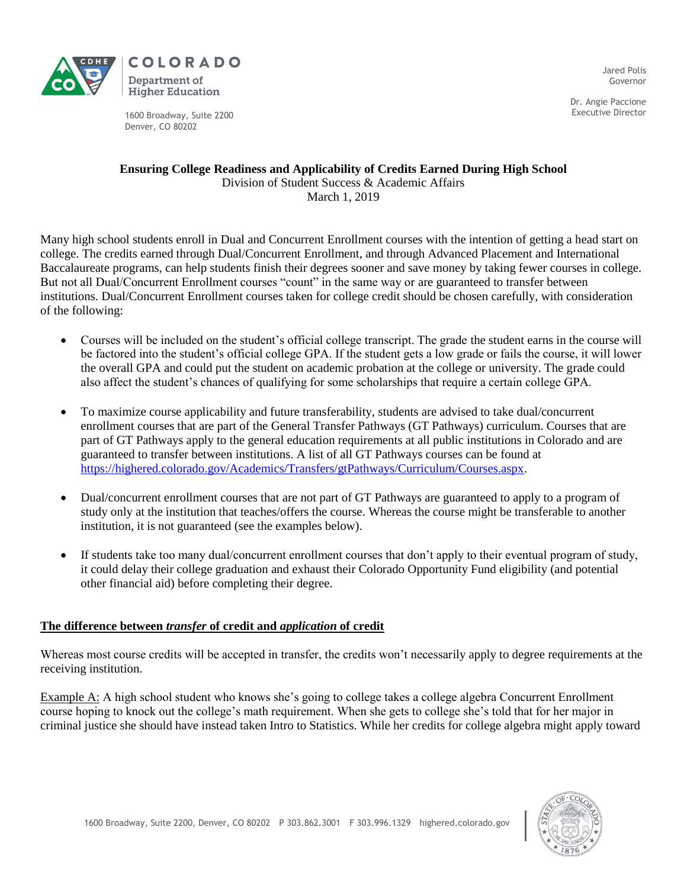

1600 Broadway, Suite 2200 Denver, CO 80202

Jared Polis Governor

Dr. Angie Paccione Executive Director

**Ensuring College Readiness and Applicability of Credits Earned During High School** Division of Student Success & Academic Affairs March 1, 2019

Many high school students enroll in Dual and Concurrent Enrollment courses with the intention of getting a head start on college. The credits earned through Dual/Concurrent Enrollment, and through Advanced Placement and International Baccalaureate programs, can help students finish their degrees sooner and save money by taking fewer courses in college. But not all Dual/Concurrent Enrollment courses "count" in the same way or are guaranteed to transfer between institutions. Dual/Concurrent Enrollment courses taken for college credit should be chosen carefully, with consideration of the following:

- Courses will be included on the student's official college transcript. The grade the student earns in the course will be factored into the student's official college GPA. If the student gets a low grade or fails the course, it will lower the overall GPA and could put the student on academic probation at the college or university. The grade could also affect the student's chances of qualifying for some scholarships that require a certain college GPA.
- To maximize course applicability and future transferability, students are advised to take dual/concurrent enrollment courses that are part of the General Transfer Pathways (GT Pathways) curriculum. Courses that are part of GT Pathways apply to the general education requirements at all public institutions in Colorado and are guaranteed to transfer between institutions. A list of all GT Pathways courses can be found at [https://highered.colorado.gov/Academics/Transfers/gtPathways/Curriculum/Courses.aspx.](https://highered.colorado.gov/Academics/Transfers/gtPathways/Curriculum/Courses.aspx)
- Dual/concurrent enrollment courses that are not part of GT Pathways are guaranteed to apply to a program of study only at the institution that teaches/offers the course. Whereas the course might be transferable to another institution, it is not guaranteed (see the examples below).
- If students take too many dual/concurrent enrollment courses that don't apply to their eventual program of study, it could delay their college graduation and exhaust their Colorado Opportunity Fund eligibility (and potential other financial aid) before completing their degree.

## **The difference between** *transfer* **of credit and** *application* **of credit**

Whereas most course credits will be accepted in transfer, the credits won't necessarily apply to degree requirements at the receiving institution.

Example A: A high school student who knows she's going to college takes a college algebra Concurrent Enrollment course hoping to knock out the college's math requirement. When she gets to college she's told that for her major in criminal justice she should have instead taken Intro to Statistics. While her credits for college algebra might apply toward

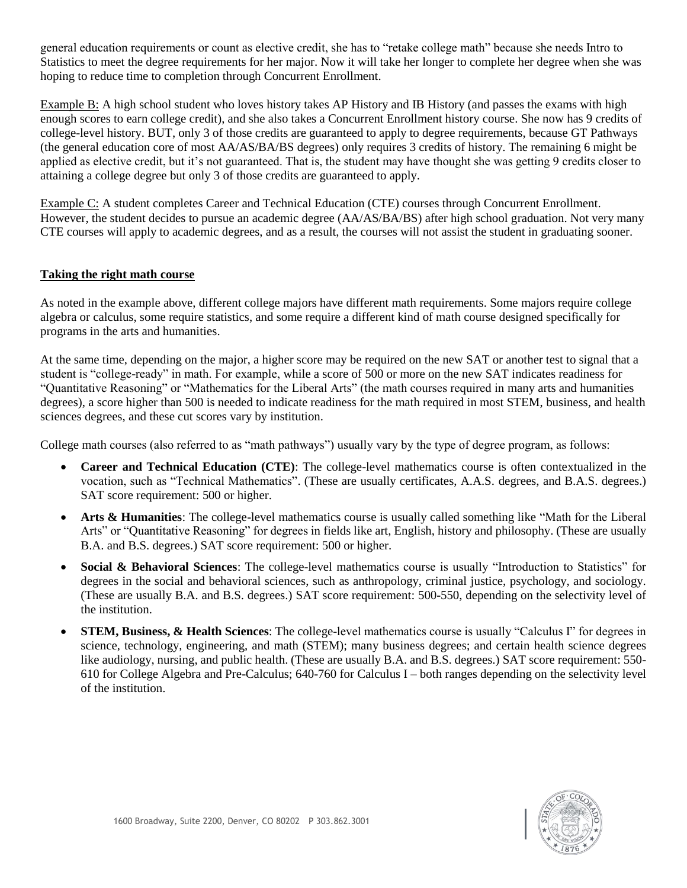general education requirements or count as elective credit, she has to "retake college math" because she needs Intro to Statistics to meet the degree requirements for her major. Now it will take her longer to complete her degree when she was hoping to reduce time to completion through Concurrent Enrollment.

Example B: A high school student who loves history takes AP History and IB History (and passes the exams with high enough scores to earn college credit), and she also takes a Concurrent Enrollment history course. She now has 9 credits of college-level history. BUT, only 3 of those credits are guaranteed to apply to degree requirements, because GT Pathways (the general education core of most AA/AS/BA/BS degrees) only requires 3 credits of history. The remaining 6 might be applied as elective credit, but it's not guaranteed. That is, the student may have thought she was getting 9 credits closer to attaining a college degree but only 3 of those credits are guaranteed to apply.

Example C: A student completes Career and Technical Education (CTE) courses through Concurrent Enrollment. However, the student decides to pursue an academic degree (AA/AS/BA/BS) after high school graduation. Not very many CTE courses will apply to academic degrees, and as a result, the courses will not assist the student in graduating sooner.

## **Taking the right math course**

As noted in the example above, different college majors have different math requirements. Some majors require college algebra or calculus, some require statistics, and some require a different kind of math course designed specifically for programs in the arts and humanities.

At the same time, depending on the major, a higher score may be required on the new SAT or another test to signal that a student is "college-ready" in math. For example, while a score of 500 or more on the new SAT indicates readiness for "Quantitative Reasoning" or "Mathematics for the Liberal Arts" (the math courses required in many arts and humanities degrees), a score higher than 500 is needed to indicate readiness for the math required in most STEM, business, and health sciences degrees, and these cut scores vary by institution.

College math courses (also referred to as "math pathways") usually vary by the type of degree program, as follows:

- **Career and Technical Education (CTE)**: The college-level mathematics course is often contextualized in the vocation, such as "Technical Mathematics". (These are usually certificates, A.A.S. degrees, and B.A.S. degrees.) SAT score requirement: 500 or higher.
- **Arts & Humanities**: The college-level mathematics course is usually called something like "Math for the Liberal Arts" or "Quantitative Reasoning" for degrees in fields like art, English, history and philosophy. (These are usually B.A. and B.S. degrees.) SAT score requirement: 500 or higher.
- **Social & Behavioral Sciences**: The college-level mathematics course is usually "Introduction to Statistics" for degrees in the social and behavioral sciences, such as anthropology, criminal justice, psychology, and sociology. (These are usually B.A. and B.S. degrees.) SAT score requirement: 500-550, depending on the selectivity level of the institution.
- **STEM, Business, & Health Sciences**: The college-level mathematics course is usually "Calculus I" for degrees in science, technology, engineering, and math (STEM); many business degrees; and certain health science degrees like audiology, nursing, and public health. (These are usually B.A. and B.S. degrees.) SAT score requirement: 550- 610 for College Algebra and Pre-Calculus; 640-760 for Calculus I – both ranges depending on the selectivity level of the institution.